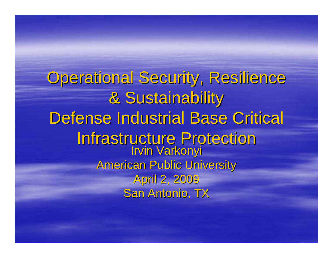**Operational Security, Resilience** & Sustainability & Sustainability Defense Industrial Base Critical **Infrastructure Protection** Irvin Varkonyi American Public University American Public University April 2, 2009 San Antonio, TX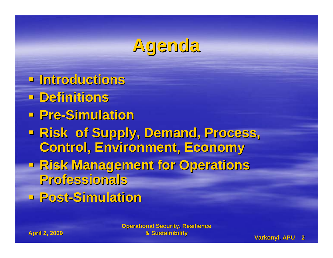### **Agenda**

- **Introductions Introductions**
- **PDefinitions**
- **Pre-Simulation**
- **Risk of Supply, Demand, Process, Control, Environment, Economy Control, Environment, Economy**
- **<u>Risk Management for Operations</u> Professionals Professionals**
- **Post-Simulation**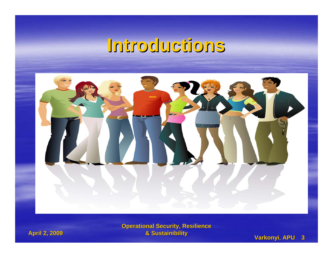#### **Introductions Introductions**



**Operational Security, Resilience & Sustainibility** 

#### **April 2, 2009 April 2, 2009**

#### **& Sustainibility & Sustainibility Varkonyi Varkonyi**, **APU 3**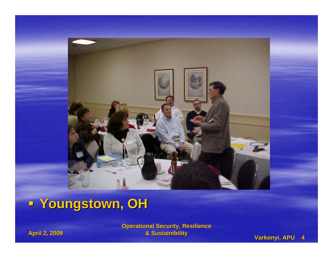

#### **Youngstown, OH Youngstown, OH**

**Operational Security, Resilience & Sustainibility** 

**April 2, 2009 April 2, 2009**

**& Sustainibility & Sustainibility Varkonyi Varkonyi**, **APU 4**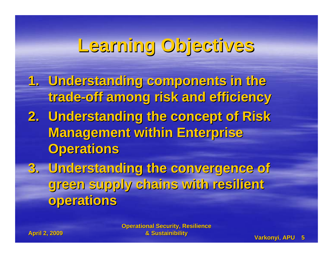## **Learning Objectives Learning Objectives**

- **1. Understanding components in the Understanding components in the trade-off among risk and efficiency off among risk and efficiency**
- **2. Understanding the concept of Risk Management within Enterprise Operations Operations**
- **3. Understanding the convergence of Understanding the convergence of green supply chains with resilient green supply chains with resilient operations operations**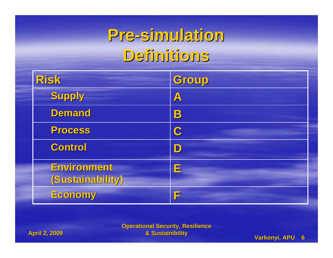#### **Pre-simulation simulation Definitions Definitions**

| <b>Risk</b>                     | Group            |
|---------------------------------|------------------|
| Supply                          | $\blacktriangle$ |
| Demand                          | B                |
| <b>Process</b>                  | C                |
| <b>Control</b>                  | D                |
| Environment<br>(Sustainability) | E                |
| Economy                         | F                |

**April 2, 2009 April 2, 2009**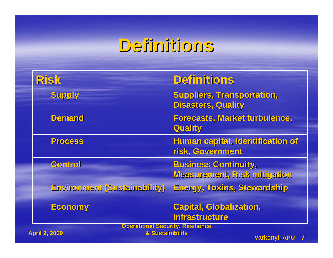## **Definitions Definitions**

| <b>Risk</b>                                                                         | <b>Definitions</b>                                             |
|-------------------------------------------------------------------------------------|----------------------------------------------------------------|
| <b>Supply</b>                                                                       | <b>Suppliers, Transportation,</b><br><b>Disasters, Quality</b> |
| <b>Demand</b>                                                                       | <b>Forecasts, Market turbulence,</b><br><b>Quality</b>         |
| <b>Process</b>                                                                      | Human capital, Identification of<br>risk, Government           |
| Control                                                                             | <b>Business Continuity,</b><br>Measurement, Risk mitigation    |
| Environment (Sustainability)                                                        | <b>Energy, Toxins, Stewardship</b>                             |
| <b>Economy</b>                                                                      | <b>Capital, Globalization,</b><br><b>Infrastructure</b>        |
| <b>Operational Security, Resilience</b><br>& Sustainibility<br><b>April 2, 2009</b> |                                                                |

**Warkonyi, APU 7**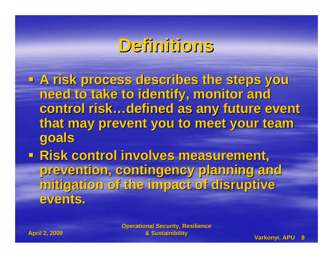#### **Definitions Definitions**

- **A risk process describes the steps you A risk process describes the steps you need to take to identify, monitor and need to take to identify, monitor and**  control risk…defined as any future event that may prevent you to meet your team **goals**
- **Risk control involves measurement, prevention, contingency planning and prevention, contingency planning and mitigation of the impact of disruptive mitigation of the impact of disruptive events. events.**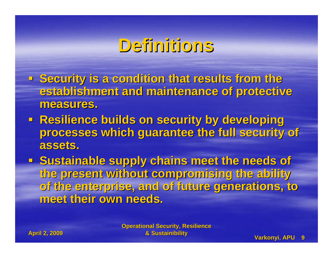#### **Definitions Definitions**

- **E** Security is a condition that results from the establishment and maintenance of protective measures.
- **Resilience builds on security by developing processes which guarantee the full security of processes which guarantee the full security of assets. assets.**
- **Exage Sustainable supply chains meet the needs of the present without compromising the ability the present without compromising the ability of the enterprise, and of future generations, to of the enterprise, and of future generations, to meet their own needs. meet their own needs.**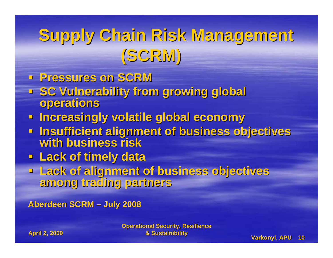## **Supply Chain Risk Management Supply Chain Risk Management (SCRM)**

- **Pressures on SCRM Pressures on SCRM**
- **Example 1 SC Vulnerability from growing global operations**
- **Increasingly volatile global economy Increasingly volatile global economy**
- **Insufficient alignment of business objectives<br>With business risk with business risk**
- **Lack of timely data Lack of timely data**
- **Lack of alignment of business objectives Lack of alignment of business objectives among trading partners among trading partners**

**Aberdeen SCRM Aberdeen SCRM – July 2008 July 2008**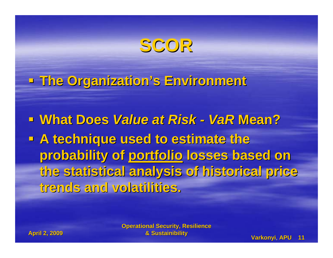#### **SCOR**

**The Organization's Environment The Organization's Environment**

 **What Does What Does** *Value at Risk Value at Risk - VaR* **Mean? A technique used to estimate the** probability of portfolio losses based on **the statistical analysis of historical price the statistical analysis of historical price trends and volatilities. trends and volatilities.**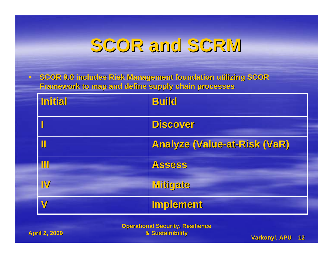#### **SCOR and SCRM SCOR and SCRM**

 **SCOR 9.0 includes Risk Management foundation utilizing SCOR SCOR 9.0 includes Risk Management foundation utilizing SCOR Framework to map and define supply chain processes Framework to map and define supply chain processes**

| <b>Initial</b> | <b>Build</b>                        |
|----------------|-------------------------------------|
|                | <b>Discover</b>                     |
|                | <b>Analyze (Value-at-Risk (VaR)</b> |
| M              | <b>Assess</b>                       |
| IV             | <b>Mitigate</b>                     |
| V              | <b>Implement</b>                    |

**Operational Security, Resilience & Sustainibility & Sustainibility Varkonyi Varkonyi**, **APU 12**

**April 2, 2009 April 2, 2009**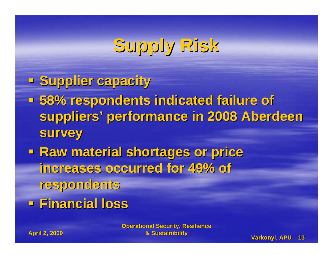# **Supply Risk Supply Risk**

- **Supplier capacity**
- **58% respondents indicated failure of 58% respondents indicated failure of**  suppliers' performance in 2008 Aberdeen **survey**
- **Raw material shortages or price increases occurred for 49% of increases occurred for 49% of respondents respondents**
- **Financial loss Financial loss**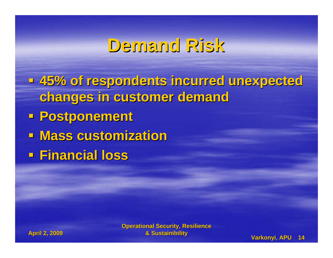## **Demand Risk Demand Risk**

 **45% of respondents incurred unexpected 45% of respondents incurred unexpected changes in customer demand changes in customer demand Postponement Postponement Mass customization Mass customization Financial loss Financial loss**

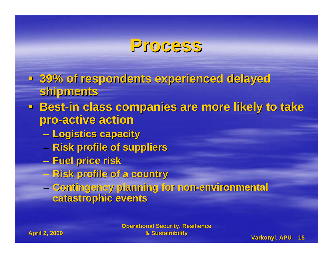#### **Process Process**

- **39% of respondents experienced delayed 39% of respondents experienced delayed shipments shipments**
- **Best-in class companies are more likely to take pro-active action active action**
	- **Logistics capacity Logistics capacity**
	- **Risk profile of suppliers Risk profile of suppliers**
	- **Fuel price risk Fuel price risk**
	- –**Risk profile of a country Risk profile of a country**
	- **Contingency planning for non Contingency planning for non-environmental environmental catastrophic events catastrophic events**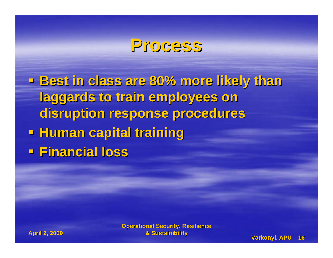#### **Process Process**

 **Best in class are 80% more likely than Best in class are 80% more likely than laggards to train employees on laggards to train employees on disruption response procedures disruption response procedures Human capital training Human capital training Financial loss Financial loss**

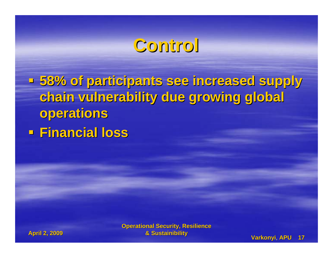### **Control Control**

 **58% of participants see increased supply 58% of participants see increased supply chain vulnerability due growing global chain vulnerability due growing global operations operations Financial loss Financial loss**

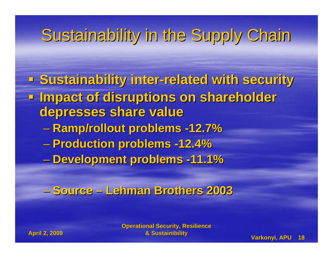- **Sustainability inter Sustainability inter-related with security related with security Impact of disruptions on shareholder depresses share value depresses share value Ramp/rollout problems Ramp/rollout problems -12.7% Production problems Production problems -12.4%**
	- **Development problems Development problems -11.1%**
	- **Source – Lehman Brothers 2003 Lehman Brothers 2003**

**April 2, 2009 April 2, 2009**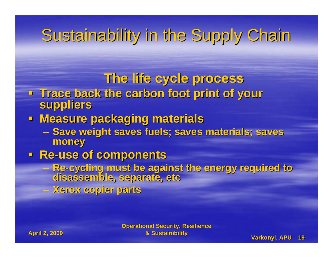#### **The life cycle process The life cycle process**

- **Trace back the carbon foot print of your Trace back the carbon foot print of your suppliers suppliers**
- **Measure packaging materials** 
	- Save weight saves fuels; saves materials; saves **money**
- **Re-use of components** 
	- **Re-cycling must be against the energy required to cycling must be against the energy required to disassemble, separate, etc disassemble, separate, etc**
	- **Xerox copier parts Xerox copier parts**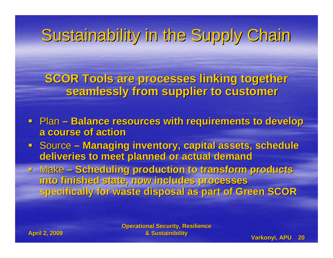**SCOR Tools are processes linking together SCOR Tools are processes linking together seamlessly from supplier to customer seamlessly from supplier to customer**

- **Plan Balance resources with requirements to develop a course of action a course of action**
- **E** Source **Managing inventory, capital assets, schedule deliveries to meet planned or actual demand deliveries to meet planned or actual demand**
- **E** Make Scheduling production to transform products **into finished state, now includes processes into finished state, now includes processes specifically for waste disposal as part of Green SCOR specifically for waste disposal as part of Green SCOR**

**April 2, 2009 April 2, 2009**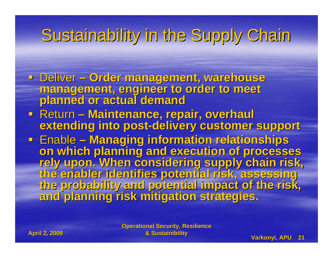- · Deliver Order management, warehouse management, engineer to order to meet<br>planned or actual demand
- Return**– Maintenance, repair, overhaul Maintenance, repair, overhaul extending into post extending into post-delivery customer support delivery customer support**
- **Enable** on which planning and execution of processes<br>rely upon. When considering supply chain risk,<br>the enabler identifies potential risk, assessing<br>the probability and potential impact of the risk,<br>and planning risk mitigation st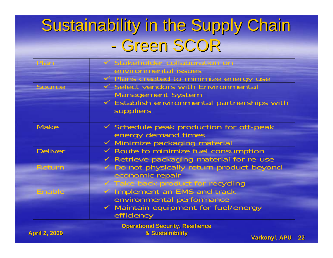## Sustainability in the Supply Chain - Green SCOR

|                | Stakeholder collaboration on                        |
|----------------|-----------------------------------------------------|
|                | environmental issues                                |
|                | $\checkmark$ Plans created to minimize energy use   |
| <b>Source</b>  | $\checkmark$ Select vendors with Environmental      |
|                | <b>Management System</b>                            |
|                | ✓ Establish environmental partnerships with         |
|                | suppliers                                           |
|                |                                                     |
| <b>Make</b>    | $\checkmark$ Schedule peak production for off-peak  |
|                | energy demand times                                 |
|                | ✓ Minimize packaging material                       |
| <b>Deliver</b> | $\checkmark$ Route to minimize fuel consumption     |
|                | $\checkmark$ Retrieve packaging material for re-use |
| <b>Return</b>  | Do not physically return product beyond             |
|                | economic repair                                     |
|                | Take back product for recycling                     |
| Enable         | ✓ Implement an EMS and track                        |
|                | environmental performance                           |
|                | $\checkmark$ Maintain equipment for fuel/energy     |
|                | efficiency                                          |
|                |                                                     |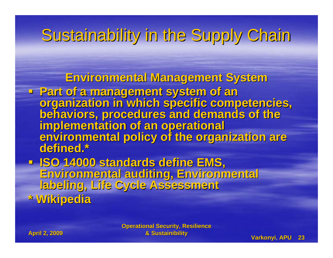**Environmental Management System Environmental Management System**

- **Part of a management system of an** organization in which specific competencies,<br>behaviors, procedures and demands of the<br>implementation of an operational<br>environmental policy of the organization are **defined.\***
- **ISO 14000 standards define EMS, Environmental auditing, Environmental Environmental auditing, Environmental labeling, Life Cycle Assessment labeling, Life Cycle Assessment \* Wikipedia \* Wikipedia**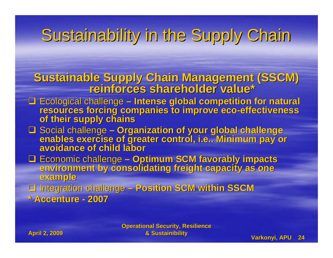**Sustainable Supply Chain Management (SSCM) reinforces shareholder value\***

- □ Ecological challenge Intense global competition for natural resources forcing companies to improve eco-effectiveness<br>of their supply chains
- □ Social challenge Organization of your global challenge □ Social challenge – Organization of your global challenge<br>enables exercise of greater control, i.e.. Minimum pay or<br>avoidance of child labor

□ Economic challenge - Optimum SCM favorably impacts environment by consolidating freight capacity as one

 Integration challenge Integration challenge **– Position SCM within SSCM Position SCM within SSCM \* Accenture \* Accenture - 2007**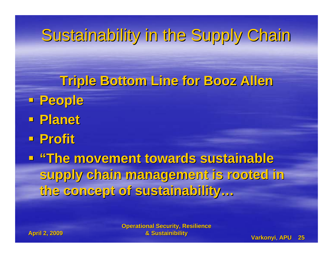- **Triple Bottom Line for Booz Allen Triple Bottom Line for Booz Allen People Planet**
- **Profit**
- **"The movement towards sustainable "The movement towards sustainable supply chain management is rooted in supply chain management is rooted in the concept of sustainability… the concept of sustainability…**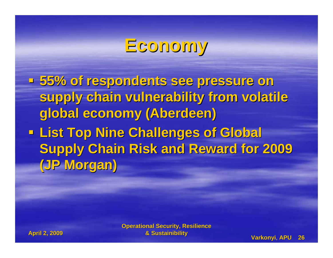#### **Economy Economy**

- **55% of respondents see pressure on 55% of respondents see pressure on**  supply chain vulnerability from volatile **global economy (Aberdeen) global economy (Aberdeen)**
- **List Top Nine Challenges of Global Supply Chain Risk and Reward for 2009 (JP Morgan) (JP Morgan)**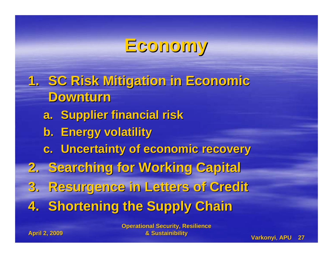## **Economy Economy**

**1. SC Risk Mitigation in Economic SC Risk Mitigation in Economic Downturn Downturna.** Supplier financial risk **b.** Energy volatility **c. Uncertainty of economic recovery Uncertainty of economic recovery 2. Searching for Working Capital Searching for Working Capital 3. Resurgence in Letters of Credit Resurgence in Letters of Credit 4. Shortening the Supply Chain**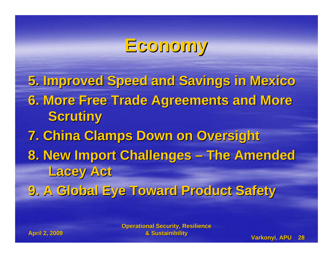## **Economy Economy**

**5. Improved Speed and Savings in Mexico 5. Improved Speed and Savings in Mexico 6. More Free Trade Agreements and More 6. More Free Trade Agreements and More Scrutiny Scrutiny 7. China Clamps Down on Oversight 7. China Clamps Down on Oversight 8. New Import Challenges – The Amended Lacey Act Lacey Act 9. A Global Eye Toward Product Safety 9. A Global Eye Toward Product Safety**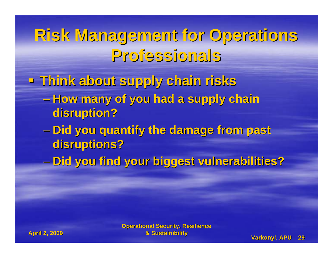**Think about supply chain risks Think about supply chain risks**

- **How many of you had a supply chain disruption? disruption?**
- **Did you quantify the damage from past Did you quantify the damage from past disruptions? disruptions?**
- $\mathcal{L}_{\mathcal{A}}$ **Did you find your biggest vulnerabilities? Did you find your biggest vulnerabilities?**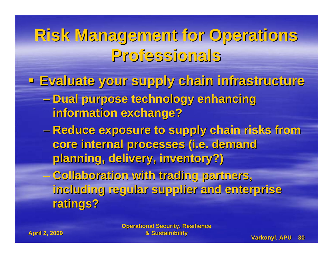**Evaluate your supply chain infrastructure Evaluate your supply chain infrastructure**

- **Dual purpose technology enhancing information exchange? information exchange?**
- **Reduce exposure to supply chain risks from Reduce exposure to supply chain risks from**  core internal processes (i.e. demand **planning, delivery, inventory?) planning, delivery, inventory?)**
- **Collaboration with trading partners, Collaboration with trading partners, including regular supplier and enterprise including regular supplier and enterprise ratings? ratings?**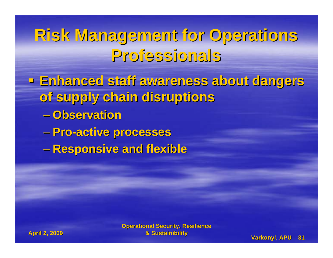- **Enhanced staff awareness about dangers Enhanced staff awareness about dangers of supply chain disruptions of supply chain disruptions**
	- **Observation Observation**
	- **Pro-active processes active processes**
	- **Responsive and flexible Responsive and flexible**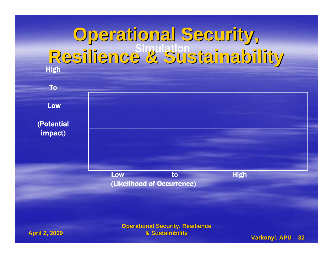



#### **April 2, 2009 April 2, 2009**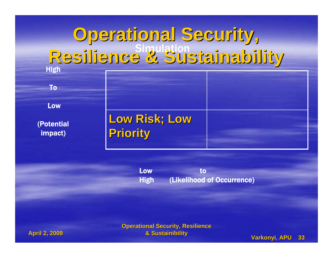To

Low

(Potential impact)

**Low Risk; Low Priority Priority**

Low to High (Likelihood of Occurrence)

**April 2, 2009 April 2, 2009**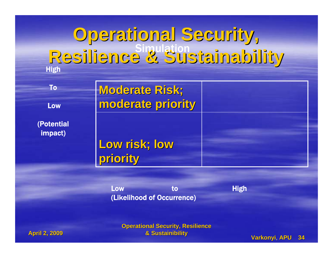| To                    | <b>Moderate Risk;</b> |  |
|-----------------------|-----------------------|--|
| Low                   | moderate priority     |  |
| (Potential<br>impact) |                       |  |
|                       | Low risk; low         |  |
|                       | priority              |  |

Low to High (Likelihood of Occurrence)

**Operational Security, Resilience & Sustainibility & Sustainibility Varkonyi Varkonyi**, **APU 34**

**April 2, 2009 April 2, 2009**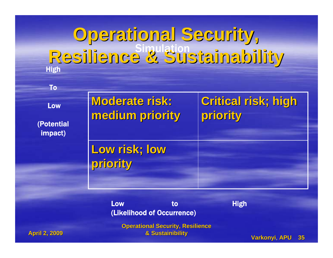Low

(Potential impact)

| <b>Moderate risk:</b><br>medium priority | Critical risk; high<br>priority |
|------------------------------------------|---------------------------------|
| Low risk; low<br>priority                |                                 |

Low to High (Likelihood of Occurrence)

**Operational Security, Resilience & Sustainibility & Sustainibility Varkonyi Varkonyi**, **APU 35**

**April 2, 2009 April 2, 2009**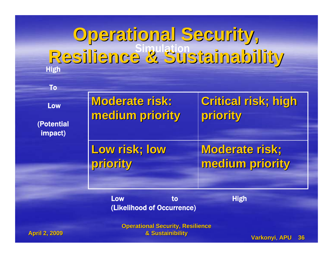Low

(Potential impact)

| <b>Moderate risk:</b> | Critical risk; high   |
|-----------------------|-----------------------|
| medium priority       | priority              |
| Low risk; low         | <b>Moderate risk;</b> |
| priority              | medium priority       |

Low to High (Likelihood of Occurrence)

**Operational Security, Resilience** 

**April 2, 2009 April 2, 2009**

**& Sustainibility & Sustainibility Varkonyi Varkonyi**, **APU 36**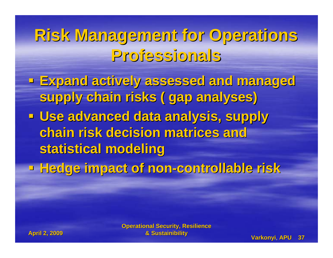- **Expand actively assessed and managed Expand actively assessed and managed supply chain risks ( gap analyses) supply chain risks ( gap analyses) - Use advanced data analysis, supply chain risk decision matrices and chain risk decision matrices and statistical modeling statistical modeling**
- **Hedge impact of non Hedge impact of non-controllable risk controllable risk**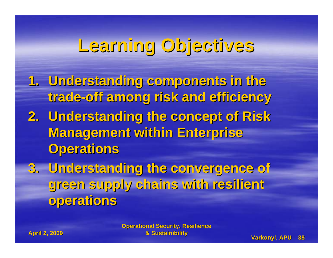## **Learning Objectives Learning Objectives**

- **1. Understanding components in the Understanding components in the trade-off among risk and efficiency off among risk and efficiency**
- **2. Understanding the concept of Risk Management within Enterprise Operations Operations**
- **3. Understanding the convergence of Understanding the convergence of green supply chains with resilient green supply chains with resilient operations operations**